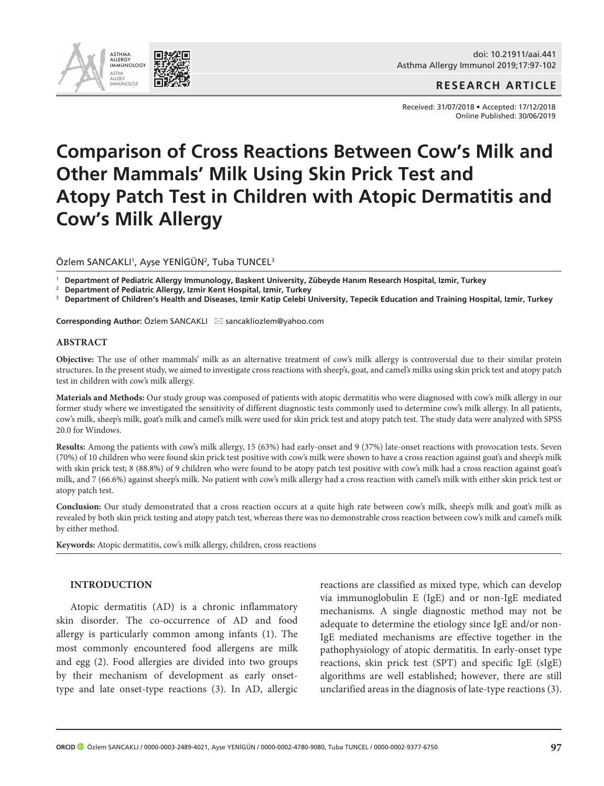

**RESEARCH ARTICLE**

Received: 31/07/2018 • Accepted: 17/12/2018 Online Published: 30/06/2019

# **Comparison of Cross Reactions Between Cow's Milk and Other Mammals' Milk Using Skin Prick Test and Atopy Patch Test in Children with Atopic Dermatitis and Cow's Milk Allergy**

Özlem SANCAKLI', Ayşe YENİGÜN<sup>2</sup>, Tuba TUNCEL<sup>3</sup>

<sup>1</sup> **Department of Pediatric Allergy Immunology, Başkent University, Zübeyde Hanım Research Hospital, Izmir, Turkey** 

<sup>2</sup> **Department of Pediatric Allergy, Izmir Kent Hospital, Izmir, Turkey**

<sup>3</sup> **Department of Children's Health and Diseases, Izmir Katip Celebi University, Tepecik Education and Training Hospital, Izmir, Turkey** 

**Corresponding Author: Özlem SANCAKLI ⊠ sancakliozlem@yahoo.com** 

#### **ABSTRACT**

**Objective:** The use of other mammals' milk as an alternative treatment of cow's milk allergy is controversial due to their similar protein structures. In the present study, we aimed to investigate cross reactions with sheep's, goat, and camel's milks using skin prick test and atopy patch test in children with cow's milk allergy.

**Materials and Methods:** Our study group was composed of patients with atopic dermatitis who were diagnosed with cow's milk allergy in our former study where we investigated the sensitivity of different diagnostic tests commonly used to determine cow's milk allergy. In all patients, cow's milk, sheep's milk, goat's milk and camel's milk were used for skin prick test and atopy patch test. The study data were analyzed with SPSS 20.0 for Windows.

**Results:** Among the patients with cow's milk allergy, 15 (63%) had early-onset and 9 (37%) late-onset reactions with provocation tests. Seven (70%) of 10 children who were found skin prick test positive with cow's milk were shown to have a cross reaction against goat's and sheep's milk with skin prick test; 8 (88.8%) of 9 children who were found to be atopy patch test positive with cow's milk had a cross reaction against goat's milk, and 7 (66.6%) against sheep's milk. No patient with cow's milk allergy had a cross reaction with camel's milk with either skin prick test or atopy patch test.

**Conclusion:** Our study demonstrated that a cross reaction occurs at a quite high rate between cow's milk, sheep's milk and goat's milk as revealed by both skin prick testing and atopy patch test, whereas there was no demonstrable cross reaction between cow's milk and camel's milk by either method.

**Keywords:** Atopic dermatitis, cow's milk allergy, children, cross reactions

#### **INTRODUCTION**

Atopic dermatitis (AD) is a chronic inflammatory skin disorder. The co-occurrence of AD and food allergy is particularly common among infants (1). The most commonly encountered food allergens are milk and egg (2). Food allergies are divided into two groups by their mechanism of development as early onsettype and late onset-type reactions (3). In AD, allergic

reactions are classified as mixed type, which can develop via immunoglobulin E (IgE) and or non-IgE mediated mechanisms. A single diagnostic method may not be adequate to determine the etiology since IgE and/or non-IgE mediated mechanisms are effective together in the pathophysiology of atopic dermatitis. In early-onset type reactions, skin prick test (SPT) and specific IgE (sIgE) algorithms are well established; however, there are still unclarified areas in the diagnosis of late-type reactions (3).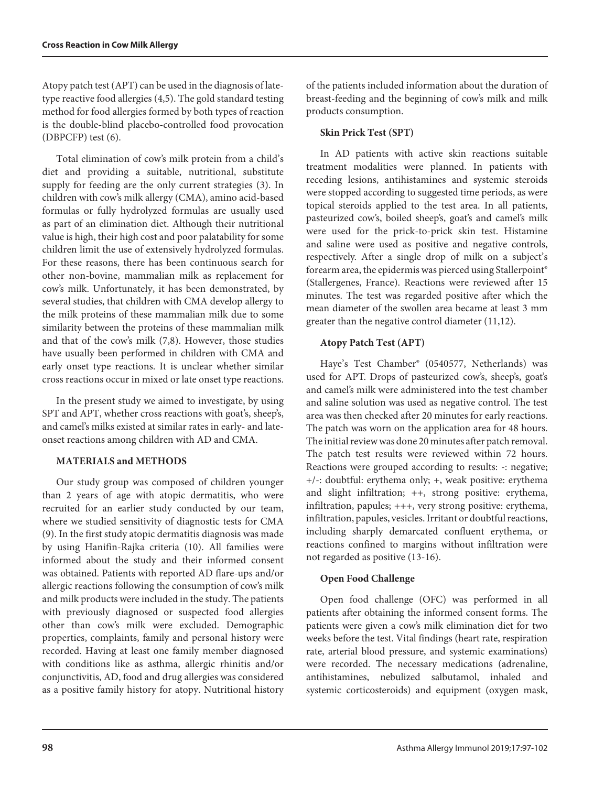Atopy patch test (APT) can be used in the diagnosis of latetype reactive food allergies (4,5). The gold standard testing method for food allergies formed by both types of reaction is the double-blind placebo-controlled food provocation (DBPCFP) test (6).

Total elimination of cow's milk protein from a child's diet and providing a suitable, nutritional, substitute supply for feeding are the only current strategies (3). In children with cow's milk allergy (CMA), amino acid-based formulas or fully hydrolyzed formulas are usually used as part of an elimination diet. Although their nutritional value is high, their high cost and poor palatability for some children limit the use of extensively hydrolyzed formulas. For these reasons, there has been continuous search for other non-bovine, mammalian milk as replacement for cow's milk. Unfortunately, it has been demonstrated, by several studies, that children with CMA develop allergy to the milk proteins of these mammalian milk due to some similarity between the proteins of these mammalian milk and that of the cow's milk (7,8). However, those studies have usually been performed in children with CMA and early onset type reactions. It is unclear whether similar cross reactions occur in mixed or late onset type reactions.

In the present study we aimed to investigate, by using SPT and APT, whether cross reactions with goat's, sheep's, and camel's milks existed at similar rates in early- and lateonset reactions among children with AD and CMA.

# **MATERIALS and METHODS**

Our study group was composed of children younger than 2 years of age with atopic dermatitis, who were recruited for an earlier study conducted by our team, where we studied sensitivity of diagnostic tests for CMA (9). In the first study atopic dermatitis diagnosis was made by using Hanifin-Rajka criteria (10). All families were informed about the study and their informed consent was obtained. Patients with reported AD flare-ups and/or allergic reactions following the consumption of cow's milk and milk products were included in the study. The patients with previously diagnosed or suspected food allergies other than cow's milk were excluded. Demographic properties, complaints, family and personal history were recorded. Having at least one family member diagnosed with conditions like as asthma, allergic rhinitis and/or conjunctivitis, AD, food and drug allergies was considered as a positive family history for atopy. Nutritional history of the patients included information about the duration of breast-feeding and the beginning of cow's milk and milk products consumption.

# **Skin Prick Test (SPT)**

In AD patients with active skin reactions suitable treatment modalities were planned. In patients with receding lesions, antihistamines and systemic steroids were stopped according to suggested time periods, as were topical steroids applied to the test area. In all patients, pasteurized cow's, boiled sheep's, goat's and camel's milk were used for the prick-to-prick skin test. Histamine and saline were used as positive and negative controls, respectively. After a single drop of milk on a subject's forearm area, the epidermis was pierced using Stallerpoint® (Stallergenes, France). Reactions were reviewed after 15 minutes. The test was regarded positive after which the mean diameter of the swollen area became at least 3 mm greater than the negative control diameter (11,12).

# **Atopy Patch Test (APT)**

Haye's Test Chamber® (0540577, Netherlands) was used for APT. Drops of pasteurized cow's, sheep's, goat's and camel's milk were administered into the test chamber and saline solution was used as negative control. The test area was then checked after 20 minutes for early reactions. The patch was worn on the application area for 48 hours. The initial review was done 20 minutes after patch removal. The patch test results were reviewed within 72 hours. Reactions were grouped according to results: -: negative; +/-: doubtful: erythema only; +, weak positive: erythema and slight infiltration; ++, strong positive: erythema, infiltration, papules; +++, very strong positive: erythema, infiltration, papules, vesicles. Irritant or doubtful reactions, including sharply demarcated confluent erythema, or reactions confined to margins without infiltration were not regarded as positive (13-16).

## **Open Food Challenge**

Open food challenge (OFC) was performed in all patients after obtaining the informed consent forms. The patients were given a cow's milk elimination diet for two weeks before the test. Vital findings (heart rate, respiration rate, arterial blood pressure, and systemic examinations) were recorded. The necessary medications (adrenaline, antihistamines, nebulized salbutamol, inhaled and systemic corticosteroids) and equipment (oxygen mask,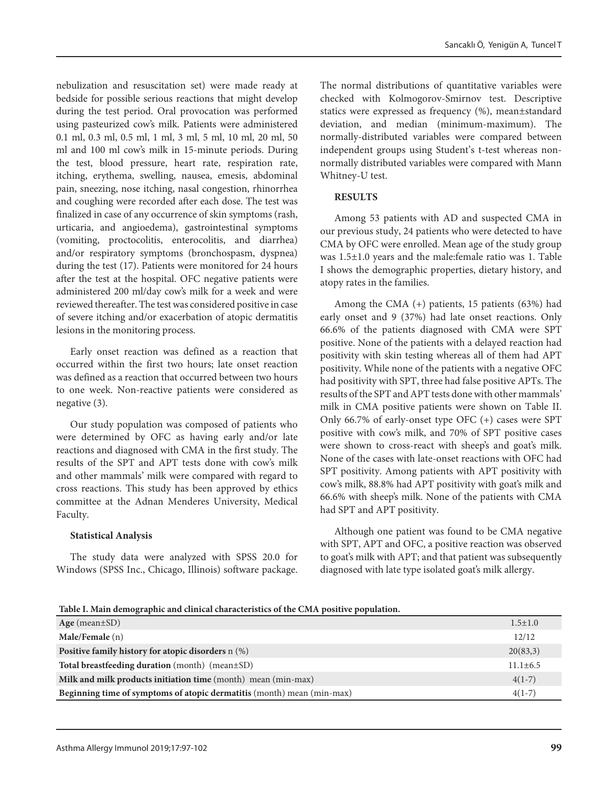nebulization and resuscitation set) were made ready at bedside for possible serious reactions that might develop during the test period. Oral provocation was performed using pasteurized cow's milk. Patients were administered 0.1 ml, 0.3 ml, 0.5 ml, 1 ml, 3 ml, 5 ml, 10 ml, 20 ml, 50 ml and 100 ml cow's milk in 15-minute periods. During the test, blood pressure, heart rate, respiration rate, itching, erythema, swelling, nausea, emesis, abdominal pain, sneezing, nose itching, nasal congestion, rhinorrhea and coughing were recorded after each dose. The test was finalized in case of any occurrence of skin symptoms (rash, urticaria, and angioedema), gastrointestinal symptoms (vomiting, proctocolitis, enterocolitis, and diarrhea) and/or respiratory symptoms (bronchospasm, dyspnea) during the test (17). Patients were monitored for 24 hours after the test at the hospital. OFC negative patients were administered 200 ml/day cow's milk for a week and were reviewed thereafter. The test was considered positive in case of severe itching and/or exacerbation of atopic dermatitis lesions in the monitoring process.

Early onset reaction was defined as a reaction that occurred within the first two hours; late onset reaction was defined as a reaction that occurred between two hours to one week. Non-reactive patients were considered as negative (3).

Our study population was composed of patients who were determined by OFC as having early and/or late reactions and diagnosed with CMA in the first study. The results of the SPT and APT tests done with cow's milk and other mammals' milk were compared with regard to cross reactions. This study has been approved by ethics committee at the Adnan Menderes University, Medical Faculty.

## **Statistical Analysis**

The study data were analyzed with SPSS 20.0 for Windows (SPSS Inc., Chicago, Illinois) software package.

The normal distributions of quantitative variables were checked with Kolmogorov-Smirnov test. Descriptive statics were expressed as frequency (%), mean±standard deviation, and median (minimum-maximum). The normally-distributed variables were compared between independent groups using Student's t-test whereas nonnormally distributed variables were compared with Mann Whitney-U test.

#### **RESULTS**

Among 53 patients with AD and suspected CMA in our previous study, 24 patients who were detected to have CMA by OFC were enrolled. Mean age of the study group was 1.5±1.0 years and the male:female ratio was 1. Table I shows the demographic properties, dietary history, and atopy rates in the families.

Among the CMA (+) patients, 15 patients (63%) had early onset and 9 (37%) had late onset reactions. Only 66.6% of the patients diagnosed with CMA were SPT positive. None of the patients with a delayed reaction had positivity with skin testing whereas all of them had APT positivity. While none of the patients with a negative OFC had positivity with SPT, three had false positive APTs. The results of the SPT and APT tests done with other mammals' milk in CMA positive patients were shown on Table II. Only 66.7% of early-onset type OFC (+) cases were SPT positive with cow's milk, and 70% of SPT positive cases were shown to cross-react with sheep's and goat's milk. None of the cases with late-onset reactions with OFC had SPT positivity. Among patients with APT positivity with cow's milk, 88.8% had APT positivity with goat's milk and 66.6% with sheep's milk. None of the patients with CMA had SPT and APT positivity.

Although one patient was found to be CMA negative with SPT, APT and OFC, a positive reaction was observed to goat's milk with APT; and that patient was subsequently diagnosed with late type isolated goat's milk allergy.

**Table I. Main demographic and clinical characteristics of the CMA positive population.**

| Age (mean $\pm$ SD)                                                    | $1.5 \pm 1.0$  |
|------------------------------------------------------------------------|----------------|
| Male/Female (n)                                                        | 12/12          |
| <b>Positive family history for atopic disorders</b> n (%)              | 20(83,3)       |
| <b>Total breastfeeding duration</b> (month) (mean±SD)                  | $11.1 \pm 6.5$ |
| Milk and milk products initiation time (month) mean (min-max)          | $4(1-7)$       |
| Beginning time of symptoms of atopic dermatitis (month) mean (min-max) | $4(1-7)$       |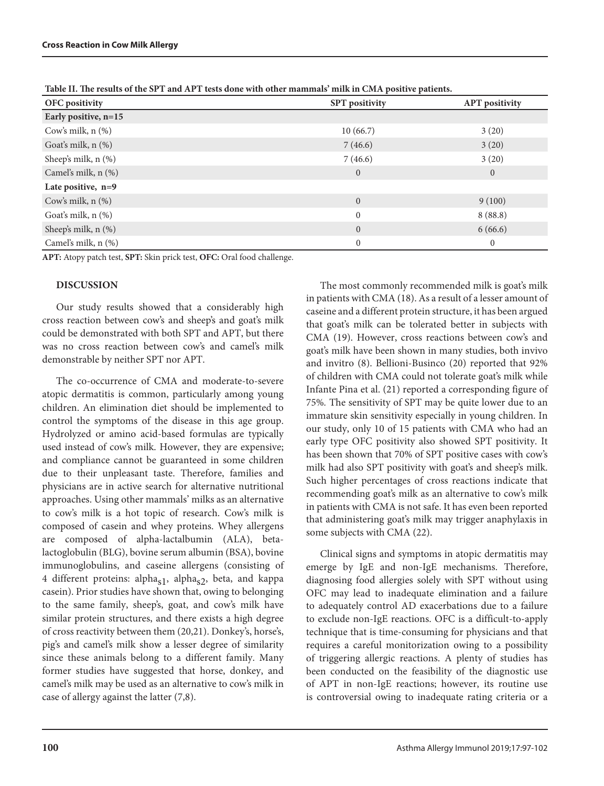| <b>SPT</b> positivity | <b>APT</b> positivity |  |
|-----------------------|-----------------------|--|
|                       |                       |  |
| 10(66.7)              | 3(20)                 |  |
| 7(46.6)               | 3(20)                 |  |
| 7(46.6)               | 3(20)                 |  |
| $\mathbf{0}$          | $\overline{0}$        |  |
|                       |                       |  |
| $\mathbf{0}$          | 9(100)                |  |
| $\mathbf{0}$          | 8(88.8)               |  |
| $\overline{0}$        | 6(66.6)               |  |
| $\mathbf{0}$          | $\overline{0}$        |  |
|                       |                       |  |

**Table II. The results of the SPT and APT tests done with other mammals' milk in CMA positive patients.**

**APT:** Atopy patch test, **SPT:** Skin prick test, **OFC:** Oral food challenge.

#### **DISCUSSION**

Our study results showed that a considerably high cross reaction between cow's and sheep's and goat's milk could be demonstrated with both SPT and APT, but there was no cross reaction between cow's and camel's milk demonstrable by neither SPT nor APT.

The co-occurrence of CMA and moderate-to-severe atopic dermatitis is common, particularly among young children. An elimination diet should be implemented to control the symptoms of the disease in this age group. Hydrolyzed or amino acid-based formulas are typically used instead of cow's milk. However, they are expensive; and compliance cannot be guaranteed in some children due to their unpleasant taste. Therefore, families and physicians are in active search for alternative nutritional approaches. Using other mammals' milks as an alternative to cow's milk is a hot topic of research. Cow's milk is composed of casein and whey proteins. Whey allergens are composed of alpha-lactalbumin (ALA), betalactoglobulin (BLG), bovine serum albumin (BSA), bovine immunoglobulins, and caseine allergens (consisting of 4 different proteins: alpha<sub>s1</sub>, alpha<sub>s2</sub>, beta, and kappa casein). Prior studies have shown that, owing to belonging to the same family, sheep's, goat, and cow's milk have similar protein structures, and there exists a high degree of cross reactivity between them (20,21). Donkey's, horse's, pig's and camel's milk show a lesser degree of similarity since these animals belong to a different family. Many former studies have suggested that horse, donkey, and camel's milk may be used as an alternative to cow's milk in case of allergy against the latter (7,8).

The most commonly recommended milk is goat's milk in patients with CMA (18). As a result of a lesser amount of caseine and a different protein structure, it has been argued that goat's milk can be tolerated better in subjects with CMA (19). However, cross reactions between cow's and goat's milk have been shown in many studies, both invivo and invitro (8). Bellioni-Businco (20) reported that 92% of children with CMA could not tolerate goat's milk while Infante Pina et al. (21) reported a corresponding figure of 75%*.* The sensitivity of SPT may be quite lower due to an immature skin sensitivity especially in young children. In our study, only 10 of 15 patients with CMA who had an early type OFC positivity also showed SPT positivity. It has been shown that 70% of SPT positive cases with cow's milk had also SPT positivity with goat's and sheep's milk. Such higher percentages of cross reactions indicate that recommending goat's milk as an alternative to cow's milk in patients with CMA is not safe. It has even been reported that administering goat's milk may trigger anaphylaxis in some subjects with CMA (22).

Clinical signs and symptoms in atopic dermatitis may emerge by IgE and non-IgE mechanisms. Therefore, diagnosing food allergies solely with SPT without using OFC may lead to inadequate elimination and a failure to adequately control AD exacerbations due to a failure to exclude non-IgE reactions. OFC is a difficult-to-apply technique that is time-consuming for physicians and that requires a careful monitorization owing to a possibility of triggering allergic reactions. A plenty of studies has been conducted on the feasibility of the diagnostic use of APT in non-IgE reactions; however, its routine use is controversial owing to inadequate rating criteria or a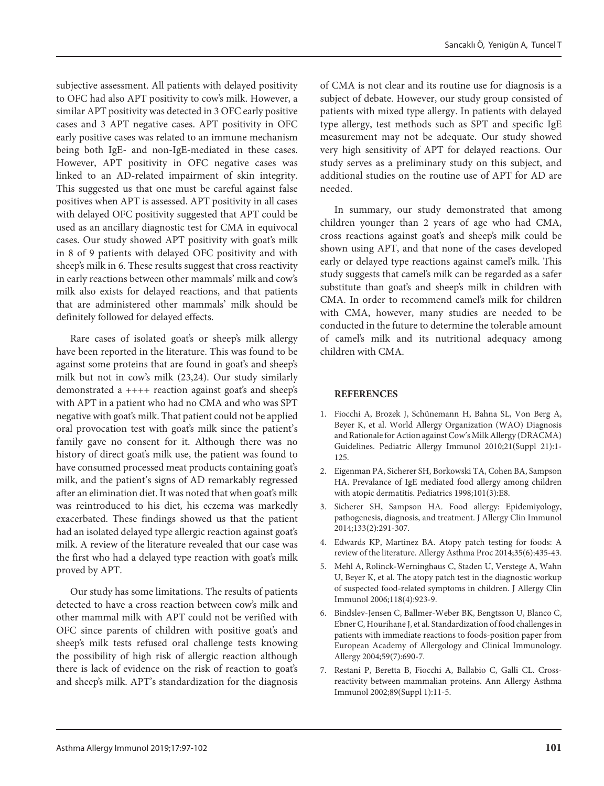subjective assessment. All patients with delayed positivity to OFC had also APT positivity to cow's milk. However, a similar APT positivity was detected in 3 OFC early positive cases and 3 APT negative cases. APT positivity in OFC early positive cases was related to an immune mechanism being both IgE- and non-IgE-mediated in these cases. However, APT positivity in OFC negative cases was linked to an AD-related impairment of skin integrity. This suggested us that one must be careful against false positives when APT is assessed. APT positivity in all cases with delayed OFC positivity suggested that APT could be used as an ancillary diagnostic test for CMA in equivocal cases. Our study showed APT positivity with goat's milk in 8 of 9 patients with delayed OFC positivity and with sheep's milk in 6. These results suggest that cross reactivity in early reactions between other mammals' milk and cow's milk also exists for delayed reactions, and that patients that are administered other mammals' milk should be definitely followed for delayed effects.

Rare cases of isolated goat's or sheep's milk allergy have been reported in the literature. This was found to be against some proteins that are found in goat's and sheep's milk but not in cow's milk (23,24). Our study similarly demonstrated a ++++ reaction against goat's and sheep's with APT in a patient who had no CMA and who was SPT negative with goat's milk. That patient could not be applied oral provocation test with goat's milk since the patient's family gave no consent for it. Although there was no history of direct goat's milk use, the patient was found to have consumed processed meat products containing goat's milk, and the patient's signs of AD remarkably regressed after an elimination diet. It was noted that when goat's milk was reintroduced to his diet, his eczema was markedly exacerbated. These findings showed us that the patient had an isolated delayed type allergic reaction against goat's milk. A review of the literature revealed that our case was the first who had a delayed type reaction with goat's milk proved by APT.

Our study has some limitations. The results of patients detected to have a cross reaction between cow's milk and other mammal milk with APT could not be verified with OFC since parents of children with positive goat's and sheep's milk tests refused oral challenge tests knowing the possibility of high risk of allergic reaction although there is lack of evidence on the risk of reaction to goat's and sheep's milk. APT's standardization for the diagnosis

of CMA is not clear and its routine use for diagnosis is a subject of debate. However, our study group consisted of patients with mixed type allergy. In patients with delayed type allergy, test methods such as SPT and specific IgE measurement may not be adequate. Our study showed very high sensitivity of APT for delayed reactions. Our study serves as a preliminary study on this subject, and additional studies on the routine use of APT for AD are needed.

In summary, our study demonstrated that among children younger than 2 years of age who had CMA, cross reactions against goat's and sheep's milk could be shown using APT, and that none of the cases developed early or delayed type reactions against camel's milk. This study suggests that camel's milk can be regarded as a safer substitute than goat's and sheep's milk in children with CMA. In order to recommend camel's milk for children with CMA, however, many studies are needed to be conducted in the future to determine the tolerable amount of camel's milk and its nutritional adequacy among children with CMA.

### **REFERENCES**

- 1. Fiocchi A, Brozek J, Schünemann H, Bahna SL, Von Berg A, Beyer K, et al. [World Allergy Organization \(WAO\) Diagnosis](http://www.ncbi.nlm.nih.gov/pubmed/20618740)  [and Rationale for Action against Cow's Milk Allergy \(DRACMA\)](http://www.ncbi.nlm.nih.gov/pubmed/20618740)  [Guidelines.](http://www.ncbi.nlm.nih.gov/pubmed/20618740) Pediatric Allergy Immunol 2010;21(Suppl 21):1- 125.
- 2. Eigenman PA, Sicherer SH, Borkowski TA, Cohen BA, Sampson HA. Prevalance of IgE mediated food allergy among children with atopic dermatitis. Pediatrics 1998;101(3):E8.
- 3. Sicherer SH, Sampson HA. Food allergy: Epidemiyology, pathogenesis, diagnosis, and treatment. J Allergy Clin Immunol 2014;133(2):291-307.
- 4. Edwards KP, Martinez BA. Atopy patch testing for foods: A review of the literature. Allergy Asthma Proc 2014;35(6):435-43.
- 5. Mehl A, Rolinck-Werninghaus C, Staden U, Verstege A, Wahn U, Beyer K, et al. [The atopy patch test in the diagnostic workup](http://www.ncbi.nlm.nih.gov/pubmed/17030247)  [of suspected food-related symptoms in children.](http://www.ncbi.nlm.nih.gov/pubmed/17030247) J Allergy Clin Immunol 2006;118(4):923-9.
- 6. Bindslev-Jensen C, Ballmer-Weber BK, Bengtsson U, Blanco C, Ebner C, Hourihane J, et al. Standardization of food challenges in patients with immediate reactions to foods-position paper from European Academy of Allergology and Clinical Immunology. Allergy 2004;59(7):690-7.
- 7. Restani P, Beretta B, Fiocchi A, Ballabio C, Galli CL. Crossreactivity between mammalian proteins. Ann Allergy Asthma Immunol 2002;89(Suppl 1):11-5.